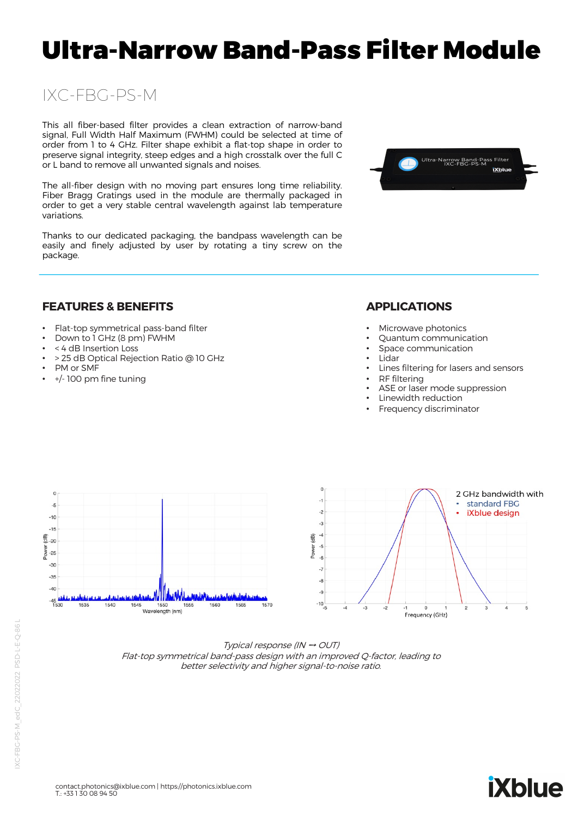# Ultra-Narrow Band-Pass Filter Module

# IXC-FBG-PS-M

This all fiber-based filter provides a clean extraction of narrow-band signal, Full Width Half Maximum (FWHM) could be selected at time of order from 1 to 4 GHz. Filter shape exhibit a flat-top shape in order to preserve signal integrity, steep edges and a high crosstalk over the full C or L band to remove all unwanted signals and noises.

The all-fiber design with no moving part ensures long time reliability. Fiber Bragg Gratings used in the module are thermally packaged in order to get a very stable central wavelength against lab temperature variations.

Thanks to our dedicated packaging, the bandpass wavelength can be easily and finely adjusted by user by rotating a tiny screw on the package.



#### **FEATURES & BENEFITS**

- Flat-top symmetrical pass-band filter
- Down to 1 GHz (8 pm) FWHM
- < 4 dB Insertion Loss
- > 25 dB Optical Rejection Ratio @ 10 GHz
- PM or SMF
- +/- 100 pm fine tuning

## **APPLICATIONS**

- Microwave photonics
- Quantum communication
- Space communication
- Lidar
- Lines filtering for lasers and sensors
- RF filtering
- ASE or laser mode suppression
- Linewidth reduction
- Frequency discriminator



Typical response (IN ➙ OUT) Flat-top symmetrical band-pass design with an improved Q-factor, leading to better selectivity and higher signal-to-noise ratio.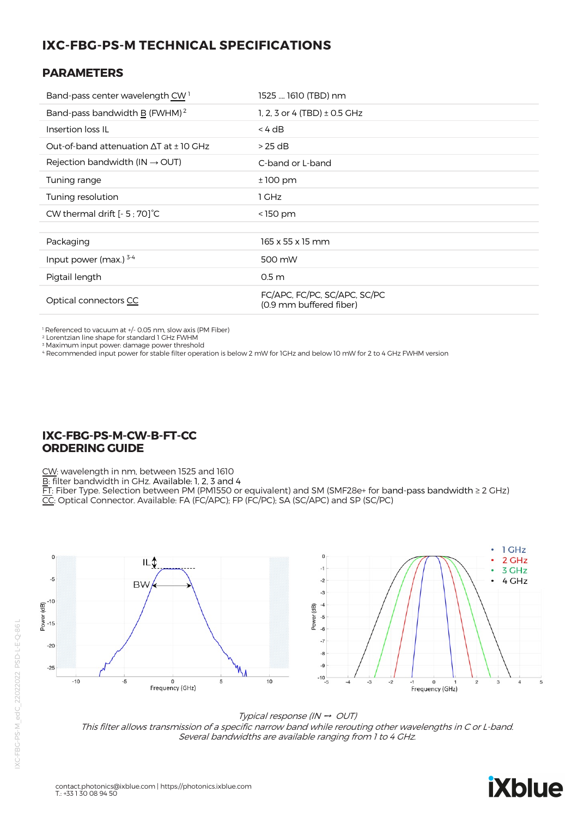# **IXC-FBG-PS-M TECHNICAL SPECIFICATIONS**

#### **PARAMETERS**

| Band-pass center wavelength CW <sup>1</sup>        | 1525  1610 (TBD) nm                                     |
|----------------------------------------------------|---------------------------------------------------------|
| Band-pass bandwidth B (FWHM) <sup>2</sup>          | 1, 2, 3 or 4 (TBD) $\pm$ 0.5 GHz                        |
| Insertion loss IL                                  | $<$ 4 dB                                                |
| Out-of-band attenuation $\Delta T$ at $\pm$ 10 GHz | $>25$ dB                                                |
| Rejection bandwidth (IN $\rightarrow$ OUT)         | C-band or L-band                                        |
| Tuning range                                       | $±100$ pm                                               |
| Tuning resolution                                  | 1 GHz                                                   |
| CW thermal drift $[-5, 70]$ °C                     | $<$ 150 pm                                              |
|                                                    |                                                         |
| Packaging                                          | 165 x 55 x 15 mm                                        |
| Input power (max.) $3-4$                           | 500 mW                                                  |
| Pigtail length                                     | 0.5 <sub>m</sub>                                        |
| Optical connectors CC                              | FC/APC, FC/PC, SC/APC, SC/PC<br>(0.9 mm buffered fiber) |

1 Referenced to vacuum at +/- 0.05 nm, slow axis (PM Fiber)

2 Lorentzian line shape for standard 1 GHz FWHM

<sup>3</sup> Maximum input power: damage power threshold

4 Recommended input power for stable filter operation is below 2 mW for 1GHz and below 10 mW for 2 to 4 GHz FWHM version

### **IXC-FBG-PS-M-CW-B-FT-CC ORDERING GUIDE**

CW: wavelength in nm, between 1525 and 1610

B: filter bandwidth in GHz. Available: 1, 2, 3 and 4

FT: Fiber Type. Selection between PM (PM1550 or equivalent) and SM (SMF28e+ for band-pass bandwidth ≥ 2 GHz)

CC: Optical Connector. Available: FA (FC/APC); FP (FC/PC); SA (SC/APC) and SP (SC/PC)



Typical response (IN  $\rightarrow$  OUT)

This filter allows transmission of a specific narrow band while rerouting other wavelengths in C or L-band. Several bandwidths are available ranging from 1 to 4 GHz.